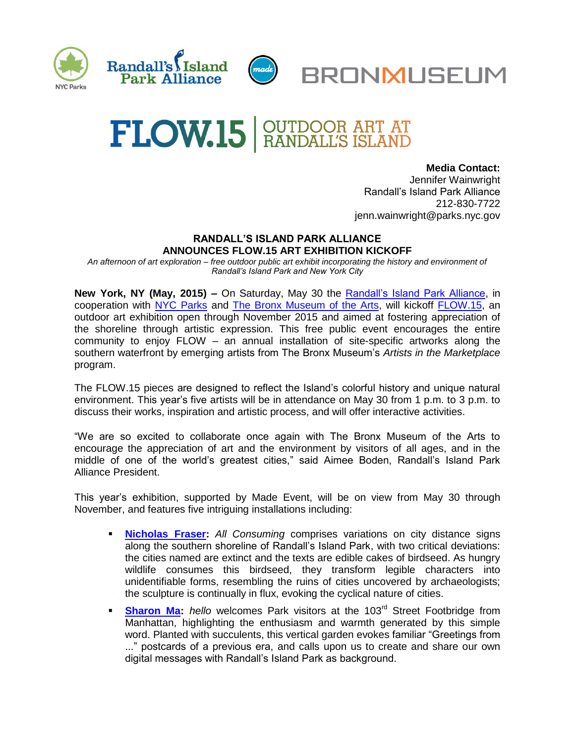



 **Media Contact:**  Jennifer Wainwright Randall's Island Park Alliance 212-830-7722 jenn.wainwright@parks.nyc.gov

## **RANDALL'S ISLAND PARK ALLIANCE ANNOUNCES FLOW.15 ART EXHIBITION KICKOFF**

*An afternoon of art exploration – free outdoor public art exhibit incorporating the history and environment of Randall's Island Park and New York City*

**New York, NY (May, 2015) –** On Saturday, May 30 the [Randall's Island Park Alliance,](http://www.randallsisland.org/) in cooperation with [NYC Parks](http://www.nycgovparks.org/) and [The Bronx Museum of the Arts,](http://www.bronxmuseum.org/) will kickoff [FLOW.15,](http://www.flowartnyc.org/) an outdoor art exhibition open through November 2015 and aimed at fostering appreciation of the shoreline through artistic expression. This free public event encourages the entire community to enjoy FLOW – an annual installation of site-specific artworks along the southern waterfront by emerging artists from The Bronx Museum's *Artists in the Marketplace*  program.

The FLOW.15 pieces are designed to reflect the Island's colorful history and unique natural environment. This year's five artists will be in attendance on May 30 from 1 p.m. to 3 p.m. to discuss their works, inspiration and artistic process, and will offer interactive activities.

"We are so excited to collaborate once again with The Bronx Museum of the Arts to encourage the appreciation of art and the environment by visitors of all ages, and in the middle of one of the world's greatest cities," said Aimee Boden, Randall's Island Park Alliance President.

This year's exhibition, supported by Made Event, will be on view from May 30 through November, and features five intriguing installations including:

- **[Nicholas Fraser:](http://www.flowartnyc.org/artists/nicholas-fraser)** *All Consuming* comprises variations on city distance signs along the southern shoreline of Randall's Island Park, with two critical deviations: the cities named are extinct and the texts are edible cakes of birdseed. As hungry wildlife consumes this birdseed, they transform legible characters into unidentifiable forms, resembling the ruins of cities uncovered by archaeologists; the sculpture is continually in flux, evoking the cyclical nature of cities.
- **[Sharon Ma:](http://www.flowartnyc.org/artists/sharon-ma)** *hello* welcomes Park visitors at the 103<sup>rd</sup> Street Footbridge from Manhattan, highlighting the enthusiasm and warmth generated by this simple word. Planted with succulents, this vertical garden evokes familiar "Greetings from ..." postcards of a previous era, and calls upon us to create and share our own digital messages with Randall's Island Park as background.